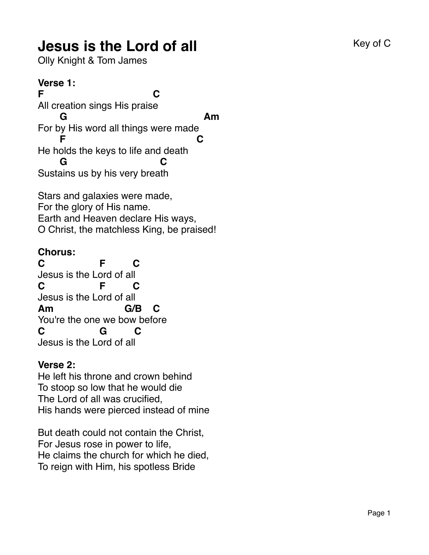# **Jesus is the Lord of all** Equipment Construction Construction Construction Construction Construction Construction Construction Construction Construction Construction Construction Construction Construction Construction Con

Olly Knight & Tom James

#### **Verse 1:**

**F C** All creation sings His praise **G Am** For by His word all things were made **F C** He holds the keys to life and death **G C** Sustains us by his very breath

Stars and galaxies were made, For the glory of His name. Earth and Heaven declare His ways, O Christ, the matchless King, be praised!

### **Chorus:**

**C F C** Jesus is the Lord of all **C F C** Jesus is the Lord of all **Am G/B C** You're the one we bow before **C G C** Jesus is the Lord of all

#### **Verse 2:**

He left his throne and crown behind To stoop so low that he would die The Lord of all was crucified, His hands were pierced instead of mine

But death could not contain the Christ, For Jesus rose in power to life, He claims the church for which he died, To reign with Him, his spotless Bride